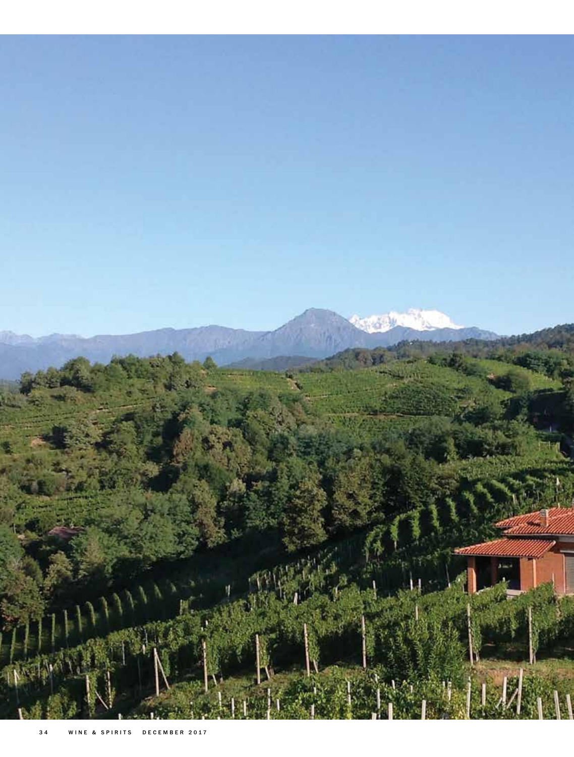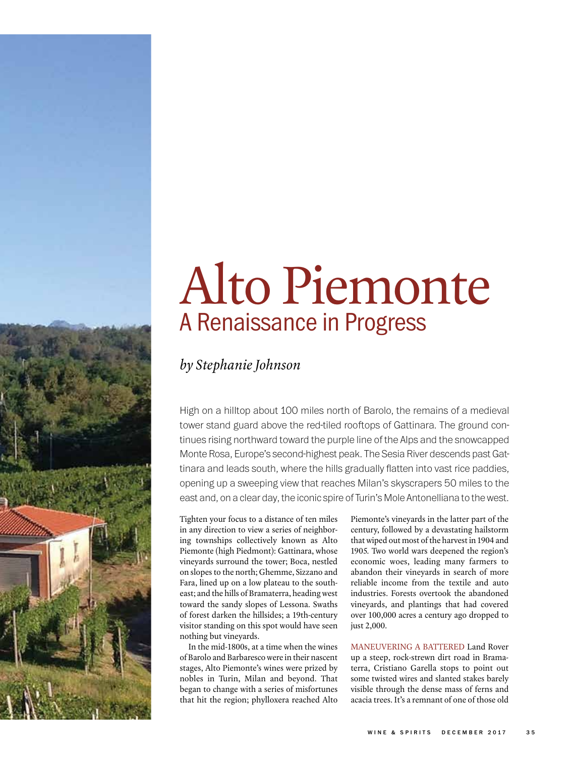# Alto Piemonte A Renaissance in Progress

### *by Stephanie Johnson*

High on a hilltop about 100 miles north of Barolo, the remains of a medieval tower stand guard above the red-tiled rooftops of Gattinara. The ground continues rising northward toward the purple line of the Alps and the snowcapped Monte Rosa, Europe's second-highest peak. The Sesia River descends past Gattinara and leads south, where the hills gradually flatten into vast rice paddies, opening up a sweeping view that reaches Milan's skyscrapers 50 miles to the east and, on a clear day, the iconic spire of Turin's Mole Antonelliana to the west.

Tighten your focus to a distance of ten miles in any direction to view a series of neighboring townships collectively known as Alto Piemonte (high Piedmont): Gattinara, whose vineyards surround the tower; Boca, nestled on slopes to the north; Ghemme, Sizzano and Fara, lined up on a low plateau to the southeast; and the hills of Bramaterra, heading west toward the sandy slopes of Lessona. Swaths of forest darken the hillsides; a 19th-century visitor standing on this spot would have seen nothing but vineyards.

In the mid-1800s, at a time when the wines of Barolo and Barbaresco were in their nascent stages, Alto Piemonte's wines were prized by nobles in Turin, Milan and beyond. That began to change with a series of misfortunes that hit the region; phylloxera reached Alto

Piemonte's vineyards in the latter part of the century, followed by a devastating hailstorm that wiped out most of the harvest in 1904 and 1905. Two world wars deepened the region's economic woes, leading many farmers to abandon their vineyards in search of more reliable income from the textile and auto industries. Forests overtook the abandoned vineyards, and plantings that had covered over 100,000 acres a century ago dropped to just 2,000.

MANEUVERING A BATTERED Land Rover up a steep, rock-strewn dirt road in Bramaterra, Cristiano Garella stops to point out some twisted wires and slanted stakes barely visible through the dense mass of ferns and acacia trees. It's a remnant of one of those old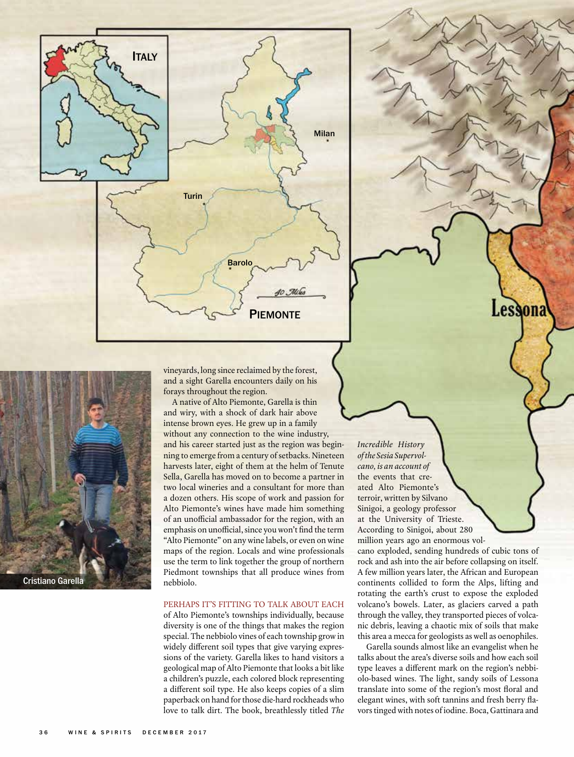



vineyards, long since reclaimed by the forest, and a sight Garella encounters daily on his forays throughout the region.

A native of Alto Piemonte, Garella is thin and wiry, with a shock of dark hair above intense brown eyes. He grew up in a family without any connection to the wine industry, and his career started just as the region was beginning to emerge from a century of setbacks. Nineteen harvests later, eight of them at the helm of Tenute Sella, Garella has moved on to become a partner in two local wineries and a consultant for more than a dozen others. His scope of work and passion for Alto Piemonte's wines have made him something of an unofficial ambassador for the region, with an emphasis on unofficial, since you won't find the term "Alto Piemonte" on any wine labels, or even on wine maps of the region. Locals and wine professionals use the term to link together the group of northern Piedmont townships that all produce wines from nebbiolo.

#### PERHAPS IT'S FITTING TO TALK ABOUT EACH

of Alto Piemonte's townships individually, because diversity is one of the things that makes the region special. The nebbiolo vines of each township grow in widely different soil types that give varying expressions of the variety. Garella likes to hand visitors a geological map of Alto Piemonte that looks a bit like a children's puzzle, each colored block representing a different soil type. He also keeps copies of a slim paperback on hand for those die-hard rockheads who love to talk dirt. The book, breathlessly titled *The* 

*Incredible History of the Sesia Supervolcano, is an account of* the events that created Alto Piemonte's terroir, written by Silvano Sinigoi, a geology professor at the University of Trieste. According to Sinigoi, about 280 million years ago an enormous vol-

cano exploded, sending hundreds of cubic tons of rock and ash into the air before collapsing on itself. A few million years later, the African and European continents collided to form the Alps, lifting and rotating the earth's crust to expose the exploded volcano's bowels. Later, as glaciers carved a path through the valley, they transported pieces of volcanic debris, leaving a chaotic mix of soils that make this area a mecca for geologists as well as oenophiles.

Lessona

Garella sounds almost like an evangelist when he talks about the area's diverse soils and how each soil type leaves a different mark on the region's nebbiolo-based wines. The light, sandy soils of Lessona translate into some of the region's most floral and elegant wines, with soft tannins and fresh berry flavors tinged with notes of iodine. Boca, Gattinara and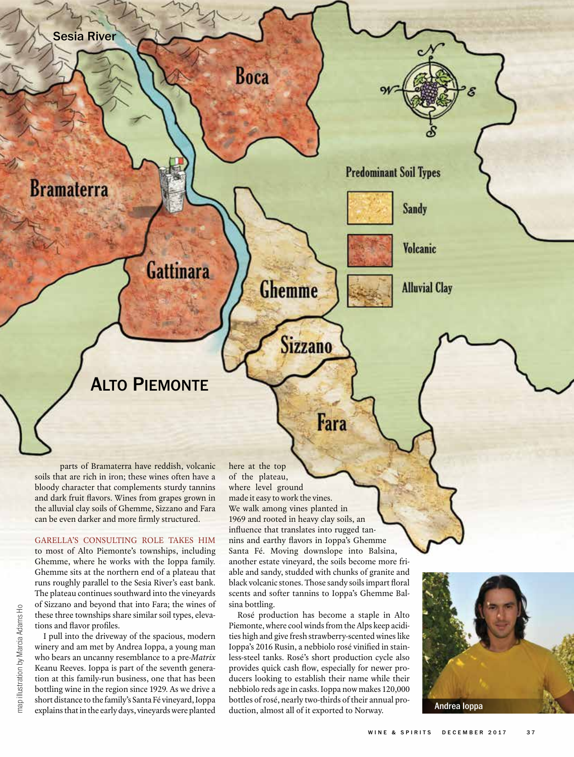

Sesia River

**Predominant Soil Types** 

**Boca** 

**Ghemme** 

**Sizzano** 



**Volcanic** 

**Alluvial Clay** 

## **ALTO PIEMONTE**

**Gattinara** 

parts of Bramaterra have reddish, volcanic soils that are rich in iron; these wines often have a bloody character that complements sturdy tannins and dark fruit flavors. Wines from grapes grown in the alluvial clay soils of Ghemme, Sizzano and Fara can be even darker and more firmly structured.

#### Garella's consulting role takes him

to most of Alto Piemonte's townships, including Ghemme, where he works with the Ioppa family. Ghemme sits at the northern end of a plateau that runs roughly parallel to the Sesia River's east bank. The plateau continues southward into the vineyards of Sizzano and beyond that into Fara; the wines of these three townships share similar soil types, elevations and flavor profiles.

I pull into the driveway of the spacious, modern winery and am met by Andrea Ioppa, a young man who bears an uncanny resemblance to a pre-*Matrix* Keanu Reeves. Ioppa is part of the seventh generation at this family-run business, one that has been bottling wine in the region since 1929. As we drive a short distance to the family's Santa Fé vineyard, Ioppa explains that in the early days, vineyards were planted here at the top of the plateau, where level ground made it easy to work the vines. We walk among vines planted in 1969 and rooted in heavy clay soils, an influence that translates into rugged tannins and earthy flavors in Ioppa's Ghemme Santa Fé. Moving downslope into Balsina, another estate vineyard, the soils become more friable and sandy, studded with chunks of granite and black volcanic stones. Those sandy soils impart floral scents and softer tannins to Ioppa's Ghemme Balsina bottling.

Fara

Rosé production has become a staple in Alto Piemonte, where cool winds from the Alps keep acidities high and give fresh strawberry-scented wines like Ioppa's 2016 Rusin, a nebbiolo rosé vinified in stainless-steel tanks. Rosé's short production cycle also provides quick cash flow, especially for newer producers looking to establish their name while their nebbiolo reds age in casks. Ioppa now makes 120,000 bottles of rosé, nearly two-thirds of their annual production, almost all of it exported to Norway.

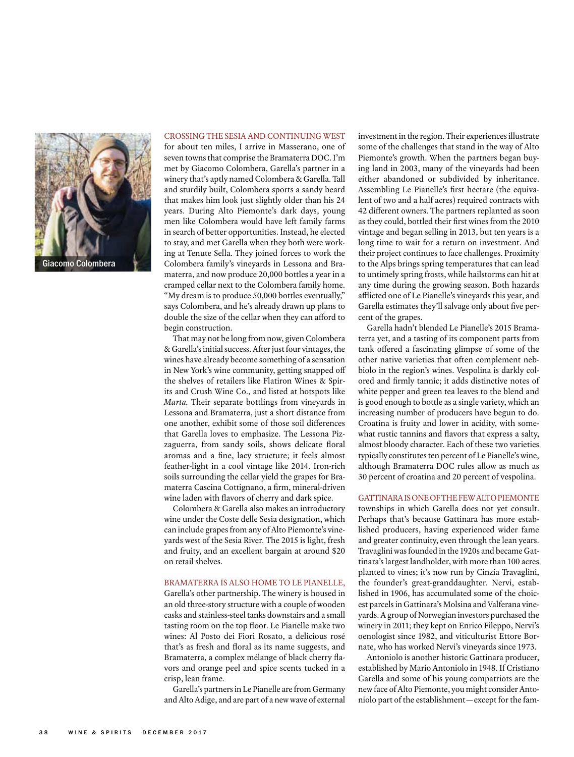

#### Crossing the Sesia and continuing west

for about ten miles, I arrive in Masserano, one of seven towns that comprise the Bramaterra DOC. I'm met by Giacomo Colombera, Garella's partner in a winery that's aptly named Colombera & Garella. Tall and sturdily built, Colombera sports a sandy beard that makes him look just slightly older than his 24 years. During Alto Piemonte's dark days, young men like Colombera would have left family farms in search of better opportunities. Instead, he elected to stay, and met Garella when they both were working at Tenute Sella. They joined forces to work the Colombera family's vineyards in Lessona and Bramaterra, and now produce 20,000 bottles a year in a cramped cellar next to the Colombera family home. "My dream is to produce 50,000 bottles eventually," says Colombera, and he's already drawn up plans to double the size of the cellar when they can afford to begin construction.

That may not be long from now, given Colombera & Garella's initial success. After just four vintages, the wines have already become something of a sensation in New York's wine community, getting snapped off the shelves of retailers like Flatiron Wines & Spirits and Crush Wine Co., and listed at hotspots like *Marta.* Their separate bottlings from vineyards in Lessona and Bramaterra, just a short distance from one another, exhibit some of those soil differences that Garella loves to emphasize. The Lessona Pizzaguerra, from sandy soils, shows delicate floral aromas and a fine, lacy structure; it feels almost feather-light in a cool vintage like 2014. Iron-rich soils surrounding the cellar yield the grapes for Bramaterra Cascina Cottignano, a firm, mineral-driven wine laden with flavors of cherry and dark spice.

Colombera & Garella also makes an introductory wine under the Coste delle Sesia designation, which can include grapes from any of Alto Piemonte's vineyards west of the Sesia River. The 2015 is light, fresh and fruity, and an excellent bargain at around \$20 on retail shelves.

#### Bramaterra is also home to Le Pianelle,

Garella's other partnership. The winery is housed in an old three-story structure with a couple of wooden casks and stainless-steel tanks downstairs and a small tasting room on the top floor. Le Pianelle make two wines: Al Posto dei Fiori Rosato, a delicious rosé that's as fresh and floral as its name suggests, and Bramaterra, a complex mélange of black cherry flavors and orange peel and spice scents tucked in a crisp, lean frame.

Garella's partners in Le Pianelle are from Germany and Alto Adige, and are part of a new wave of external investment in the region. Their experiences illustrate some of the challenges that stand in the way of Alto Piemonte's growth. When the partners began buying land in 2003, many of the vineyards had been either abandoned or subdivided by inheritance. Assembling Le Pianelle's first hectare (the equivalent of two and a half acres) required contracts with 42 different owners. The partners replanted as soon as they could, bottled their first wines from the 2010 vintage and began selling in 2013, but ten years is a long time to wait for a return on investment. And their project continues to face challenges. Proximity to the Alps brings spring temperatures that can lead to untimely spring frosts, while hailstorms can hit at any time during the growing season. Both hazards afflicted one of Le Pianelle's vineyards this year, and Garella estimates they'll salvage only about five percent of the grapes.

Garella hadn't blended Le Pianelle's 2015 Bramaterra yet, and a tasting of its component parts from tank offered a fascinating glimpse of some of the other native varieties that often complement nebbiolo in the region's wines. Vespolina is darkly colored and firmly tannic; it adds distinctive notes of white pepper and green tea leaves to the blend and is good enough to bottle as a single variety, which an increasing number of producers have begun to do. Croatina is fruity and lower in acidity, with somewhat rustic tannins and flavors that express a salty, almost bloody character. Each of these two varieties typically constitutes ten percent of Le Pianelle's wine, although Bramaterra DOC rules allow as much as 30 percent of croatina and 20 percent of vespolina.

#### Gattinarais one ofthe few Alto Piemonte

townships in which Garella does not yet consult. Perhaps that's because Gattinara has more established producers, having experienced wider fame and greater continuity, even through the lean years. Travaglini was founded in the 1920s and became Gattinara's largest landholder, with more than 100 acres planted to vines; it's now run by Cinzia Travaglini, the founder's great-granddaughter. Nervi, established in 1906, has accumulated some of the choicest parcels in Gattinara's Molsina and Valferana vineyards. A group of Norwegian investors purchased the winery in 2011; they kept on Enrico Fileppo, Nervi's oenologist since 1982, and viticulturist Ettore Bornate, who has worked Nervi's vineyards since 1973.

Antoniolo is another historic Gattinara producer, established by Mario Antoniolo in 1948. If Cristiano Garella and some of his young compatriots are the new face of Alto Piemonte, you might consider Antoniolo part of the establishment—except for the fam